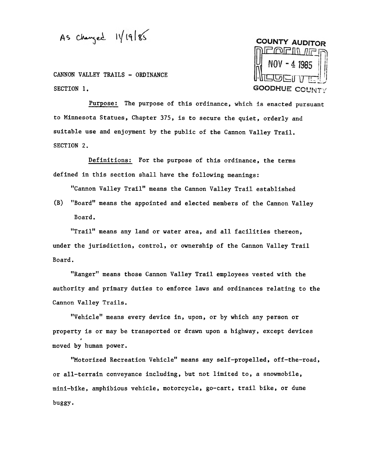As  $changed$   $11/19185$ 

CANNON VALLEY TRAILS - ORDINANCE SECTION 1.



Purpose: The purpose of this ordinance, which is enacted pursuant to Minnesota Statues, Chapter 375, is to secure the quiet, orderly and suitable use and enjoyment by the public of the Cannon Valley Trail. SECTION 2.

Definitions: For the purpose of this ordinance, the terms defined in this section shall have the following meanings:

"Cannon Valley Trail" means the Cannon Valley Trail established

(B) "Board" means the appointed and elected members of the Cannon Valley Board.

"Trail" means any land or water area, and all facilities thereon, under the jurisdiction, control, or ownership of the Cannon Valley Trail Board.

"Ranger" means those Cannon Valley Trail employees vested with the authority and primary duties to enforce laws and ordinances relating to the Cannon Valley Trails.

"Vehicle" means every device in, upon, or by which any person or property is or may be transported or drawn upon a highway, except device<br>. moved by human power.

"Motorized Recreation Vehicle" means any self-propelled, off-the-road, or all-terrain conveyance including, but not limited to, a snowmobile, mini-bike, amphibious vehicle, motorcycle, go-cart, trail bike, or dune buggy.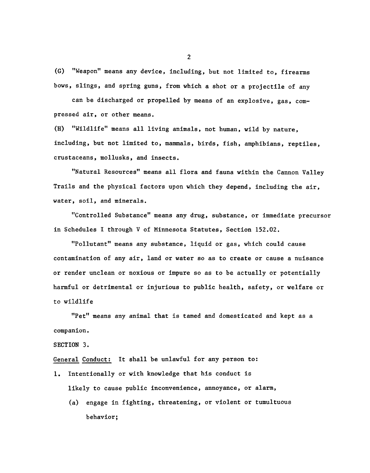(G) "Weapon" means any device, including, but not limited to, firear bows, slings, and spring guns, from which a shot or a projectile of any

can be discharged or propelled by means of an explosive, gas, compressed air, or other means.

(H) "Wildlife" means all living animals, not human, wild by nature, including, but not limited to, mammals, birds, fish, amphibians, reptiles, crustaceans, mollusks, and insects.

"Natural Resources" means all flora and fauna within the Cannon Valley Trails and the physical factors upon which they depend, including the air, water, soil, and minerals.

"Controlled Substance" means any drug, substance, or immediate precursor in Schedules I through V of Minnesota Statutes, Section 152.02.

"Pollutant" means any substance, liquid or gas, which could cause contamination of any air, land or water so as to create or cause a nuisance or render unclean or noxious or impure so as to be actually or potentially harmful or detrimental or injurious to public health, safety, or welfare or to wildlife

"Pet" means any animal that is tamed and domesticated and kept as a companion.

#### SECTION 3.

General Conduct: It shall be unlawful for any person to:

- 1. Intentionally or with knowledge that his conduct is likely to cause public inconvenience, annoyance, or alarm,
	- (a) engage in fighting, threatening, or violent or tumultuous behavior;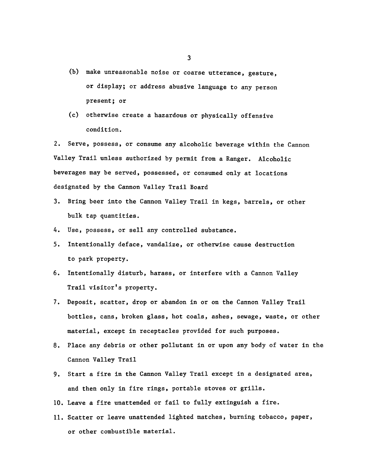- (b) make unreasonable noise or coarse utterance, gesture, or display; or address abusive language to any person present; or
- (c) otherwise create a hazardous or physically offensive condition.

2. Serve, possess, or consume any alcoholic beverage within the Cannon Valley Trail unless authorized by permit from a Ranger. Alcoholic beverages may be served, possessed, or consumed only at locations designated by the Cannon Valley Trail Board

- 3. Bring beer into the Cannon Valley Trail in kegs, barrels, or other bulk tap quantities.
- 4. Use, possess, or sell any controlled substanc
- to park property.
- 6. Intentionally disturb, harass, or interfere with a Cannon Valley Trail visitor's property.
- 5. Intentionally deface, vandalize, or otherwise cause destruct<br>to park property.<br>6. Intentionally disturb, harass, or interfere with a Cannon Va<br>Trail visitor's property.<br>7. Deposit, scatter, drop or abandon in or on the 7. Deposit, scatter, drop or abandon in or on the Cannon Valley Trail bottles, cans, broken glass, hot coals, ashes, sewage, waste, or other material, except in receptacles provided for such purposes.
	- 8. Place any debris or other pollutant in or upon any body of water in the Cannon Valley Trail
	- 9. Start a fire in the Cannon Valley Trail except in a designated area, and then only in fire rings, portable stoves or grills.
	- 10. Leave a fire unattended or fail to fully extinguish a fire.
	- 11. Scatter or leave unattended lighted matches, burning tobacco, paper, or other combustible material.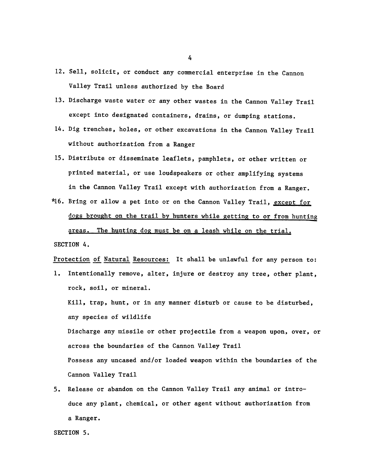- 12. Sell, solicit, or conduct any commercial enterprise in the Cannon Valley Trail unless authorized by the Board
- 13. Discharge waste water or any other wastes in the Cannon Valley Trail except into designated containers, drains, or dumping stations.
- 14. Dig trenches. holes. or other excavations in the Cannon Valley Trail without authorization from a Ranger
- 15. Distribute or disseminate leaflets, pamphlets, or other written or printed material, or use loudspeakers or other amplifying systems in the Cannon Valley Trail except with authorization from a Ranger.
- \*16. Bring or allow a pet into or on the Cannon Valley Trail, except for dogs brought on the trail by hunters while getting to or from hunting areas. The hunting dog must be on a leash while on the trial. SECTION 4.

Protection of Natural Resources: It shall be unlawful for any person to:

- 1. Intentionally remove, alter, injure or destroy any tree, other plant, rock, soil, or mineral. Kill, trap, hunt, or in any manner disturb or cause to be disturbed, any species of wildlife Discharge any missile or other projectile from a weapon upon, over, or across the boundaries of the Cannon Valley Trail Possess any uncased and/or loaded weapon within the boundaries of the Cannon Valley Trail
- 5. Release or abandon on the Cannon Valley Trail any animal or introduce any plant, chemical, or other agent without authorization from a Ranger.

SECTION 5.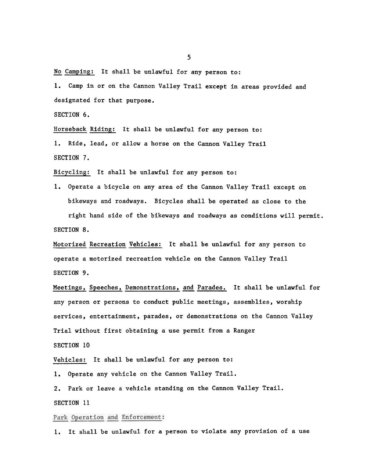No Camping: It shall be unlawful for any person to:

1. Camp in or on the Cannon Valley Trail except in areas provided and designated for that purpose.

SECTION 6.

Horseback Riding: It shall be unlawful for any person to:

1. Ride, lead, or allow a horse on the Cannon Valley Trail SECTION 7.

Bicycling: It shall be unlawful for any person to:

Operate a bicycle on any area of the Cannon Valley Trail except on bikeways and roadways. Bicycles shall be operated as close to the right hand side of the bikeways and roadways as conditions will permit. SECTION 8.

Motorized Recreation Vehicles: It shall be unlawful for any person to operate a motorized recreation vehicle on the Cannon Valley Trail SECTION 9.

Meetings, Speeches, Demonstrations, and Parades. It shall be unlawful for any person or persons to conduct public meetings, assemblies, worship services, entertainment, parades, or demonstrations on the Cannon Valley Trial without first obtaining a use permit from a Ranger

SECTION 10

Vehicles: It shall be unlawful for any person to:

1. Operate any vehicle on the Cannon Valley Trail.

2. Park or leave a vehicle standing on the Cannon Valley Trail. SECTION 11

### Park Operation and Enforcement:

It shall be unlawful for a person to violate any provision of a use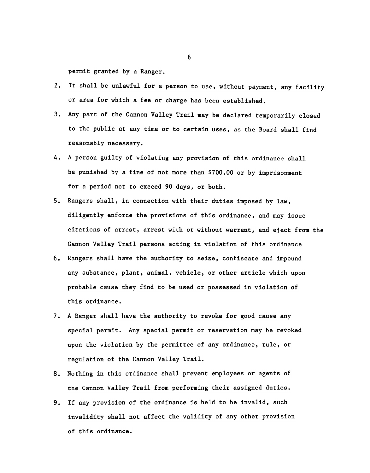permit granted by a Ranger.

- 2. It shall be unlawful for a person to use, without payment, any facility or area for which a fee or charge has been established.
- Any part of the Cannon Valley Trail may be declared temporarily closed to the public at any time or to certain uses, as the Board shall find reasonably necessary.
- 4. A person guilty of violating any provision of this ordinance shall be punished by a fine of not more than \$700.00 or by imprisonment for a period not to exceed 90 days, or both.
- 5. Rangers shall, in connection with their duties imposed by law, diligently enforce the provisions of this ordinance, and may issue citations of arrest, arrest with or without warrant, and eject from the Cannon Valley Trail persons acting in violation of this ordinance
- 6. Rangers shall have the authority to seize, confiscate and impound any substance, plant, animal, vehicle, or other article which up probable cause they find to be used or possessed in violation of this ordinance.<br>7. A Ra any substance, plant, animal, vehicle, or other article which upon probable cause they find to be used or possessed in violation of this ordinance.
	- 7. A Ranger shall have the authority to revoke for good cause any special permit. Any special permit or reservation may be revoked upon the violation by the permittee of any ordinance, rule, or regulation of the Cannon Valley Trail.
	- 8. Nothing in this ordinance shall prevent employees or agents of the Cannon Valley Trail from performing their assigned duties.
	- 9. If any provision of the ordinance is held to be invalid, such invalidity shall not affect the validity of any other provision of this ordinance.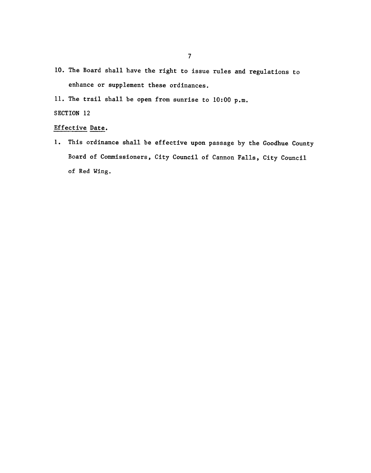- 10. The Board shall have the right to issue rules and regulations to enhance or supplement these ordinances.
- 11. The trail shall be open from sunrise to 10:00 p.m.

### SECTION 12

### Effective Date.

1. This ordinance shall be effective upon passage by the Goodhue County Board of Commissioners, City Council of Cannon Falls, City Council of Red Wing.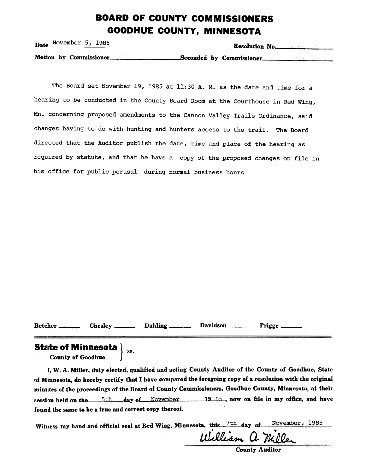# BOARD OF COUNTY COMMISSIONERS GOODHUE COUNTY, MINNESOTA

| Date November $5, 1985$ | Resolution No.           |
|-------------------------|--------------------------|
| Motion by Commissioner  | Seconded by Commissioner |

The Board set November 19, 1985 at 11:30 A. M. as the date and time for a hearing to be conducted in the County Board Room at the Courthouse in Red Wing, Mn. concerning proposed amendments to the Cannon Valley Trails Ordinance, said changes having to do with hunting and hunters access to the trail. The Board directed that the Auditor publish the date, time and place of the hearing as required by statute, and that he have a copy of the proposed changes on file in his office for public perusal during normal business hours

Betcher Chesley Dahling Davidson Prigge

SS.

### **State of Minnesot**

County of Goodhue

I, W. A. Miller, duly elected, qualified and acting County Auditor of the County of Goodhue, State of Minnesota, do hereby certify that I have compared the foregoing copy of a resolution with the original minutes of the proceedings of the Board of County Commissioners, Goodhue County, Minnesota, at their session held on the  $5th$  day of November 19.85, now on file in my office, and have found the same to be a true and correct copy thereof.

Witness my hand and official seal at Red Wing, Minnesota, this. 7th day of November, 1985

William a. Miller

County Auditor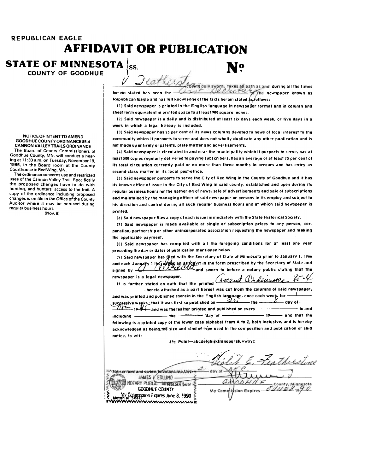## REPUBLICAN EAGLE AFFIDAVIT OR PUBLICATION

STATE OF MINNESOTA  $\langle$ <sub>SS</sub>. COUNTY OF GOODHUE

NOTICE OF INTENT TO AMEND GOODHUE COUNTY ORDINANCE 85-4 CANNON VALLEY TRAILS ORDINANCE The Board of County Commissioners of

Goodhue County, MN, will conduct a hearing at 11 :30 a.m. on Tuesday, November 19, 1985, in the Board room at the County Courthouse in Red VVing, MN.

The ordinance concerns use and restricted uses of the Cannon Valley Trail. Specifically the proposed changes have to do with hunting, and hunters' access to the trail. A copy of the ordinance including proposed changes is on file in the Office of the County Auditor where it may be perused during regular business hours. (IIlov.8)

during all the time herein stated has been the newspaper known as Republican Eagle and has full knowledge of the facts herein stated as follows:

(1) Said newspaper is printed in the English language in newspaper format and in column and sheet form equivalent in printed space fo af least 900 square inches.

(2) Said newspaper is a daily and is distributed af least six days each week, or five days in a week in which a legal holiday is included.

(:]) Said newspaper has 25 per cent of its news columns devoted fo news of local interest fo the community which it purports to serve and does not wholly duplicate any other publication and is not made up entirely of patents, plate matter and advertisements.

(~) Said newspaper is circulated in and near the municipality which if purports fo serve, has af least 500 copies regularly delivered fo paying subscribers, has an average of af least 75 per cent of its total circulation currently paid or no more than three months in arrears and has entry as second-class matter in its local post-office.

(S) Said newspaper purports fo serve the City of Red Wing in the County of Goodhue and if has ifs known office of issue in the City of Red Wing in said county, established and open during ifs regular business hours for the gathering of news, sale of advertisements and sale of subscriptions and maintained by the managing officer of said newspaper or persons in its employ and subject to his direction and control during all such regular business hours and af which said newspaper is printed.

(oi) Said newspaper files a copy of each issue immediately with the State Historical Society.

(1) Said newspaper is made available af single or subscription prices to any person, corporation, partnership or other unincorporated association requesting the newspaper and making the applicable payment.

(8) Said newspaper has complied with all the foregoing conditions for at least one year preceding the day or dates of publication mentioned below.

(9) Said newspaper has filed with the Secretary of State of Minnesota prior to January 1, 1966 and each January 1 theree was a stild vit in the form prescribed by the Secretary of State and signed by  $\frac{1}{\sqrt{1-\frac{1}{n}}}\frac{1}{\sqrt{1-\frac{1}{n}}}\frac{1}{\sqrt{1-\frac{1}{n}}}\frac{1}{\sqrt{1-\frac{1}{n}}}\frac{1}{\sqrt{1-\frac{1}{n}}}\frac{1}{\sqrt{1-\frac{1}{n}}}\frac{1}{\sqrt{1-\frac{1}{n}}}\frac{1}{\sqrt{1-\frac{1}{n}}}\frac{1}{\sqrt{1-\frac{1}{n}}}\frac{1}{\sqrt{1-\frac{1}{n}}}\frac{1}{\sqrt{1-\frac{1}{n}}}\frac{1}{\sqrt{1-\frac{1}{n}}}\frac{1}{\sqrt{1-\frac{1}{n}}}\frac$ newspaper is a legal newspaper.  $\sqrt{2}m\rho u d \mathcal{Q}_h d \mu u \rho u e$ 

It is further stated on oath that the printed -hereto attached as a part hereof was cut from the columns of said newspaper, and was printed and published therein in the English language, once each week, for  $-\!1$ 

successive weeks; that it was first so published on  $\overline{\mathscr{A}^{A}}$  ... the  $\overline{\mathscr{A}^{A}}$  day of - $\frac{1}{2}$   $\frac{1}{2}$   $\frac{1}{2}$   $\frac{1}{2}$  and was thereafter printed and published on every  $\frac{1}{2}$   $\frac{1}{2}$   $\frac{1}{2}$  to and  $int   $m$  and that the day of  $\frac{1}{2}$  and that the$ following is a printed copy of the lower case alphabet from A to Z, both inclusive, and is hereby acknowledged as being,the size and kind of type used in the composition and publication of said notice, fo wit:

6'/2 point-abCdefghijklmnOpqrstuvwxyz

 $\mathcal{L}^{\prime}$  . In the same of  $\mathcal{L}^{\prime}$ ...Therstone Subscribed and sworn to belong mp this-~~daYOf JANES Y EDLUND. OTARY PUBLIC MINGLER BUDIES County, Minnesota My Comm sion Expires : !~~~~~:~':::=~~II